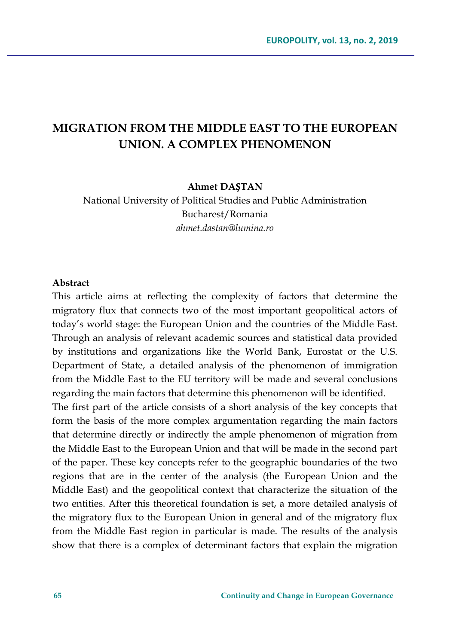## **MIGRATION FROM THE MIDDLE EAST TO THE EUROPEAN UNION. A COMPLEX PHENOMENON**

**Ahmet DAȘTAN**

National University of Political Studies and Public Administration Bucharest/Romania *ahmet.dastan@lumina.ro*

#### **Abstract**

This article aims at reflecting the complexity of factors that determine the migratory flux that connects two of the most important geopolitical actors of today's world stage: the European Union and the countries of the Middle East. Through an analysis of relevant academic sources and statistical data provided by institutions and organizations like the World Bank, Eurostat or the U.S. Department of State, a detailed analysis of the phenomenon of immigration from the Middle East to the EU territory will be made and several conclusions regarding the main factors that determine this phenomenon will be identified.

The first part of the article consists of a short analysis of the key concepts that form the basis of the more complex argumentation regarding the main factors that determine directly or indirectly the ample phenomenon of migration from the Middle East to the European Union and that will be made in the second part of the paper. These key concepts refer to the geographic boundaries of the two regions that are in the center of the analysis (the European Union and the Middle East) and the geopolitical context that characterize the situation of the two entities. After this theoretical foundation is set, a more detailed analysis of the migratory flux to the European Union in general and of the migratory flux from the Middle East region in particular is made. The results of the analysis show that there is a complex of determinant factors that explain the migration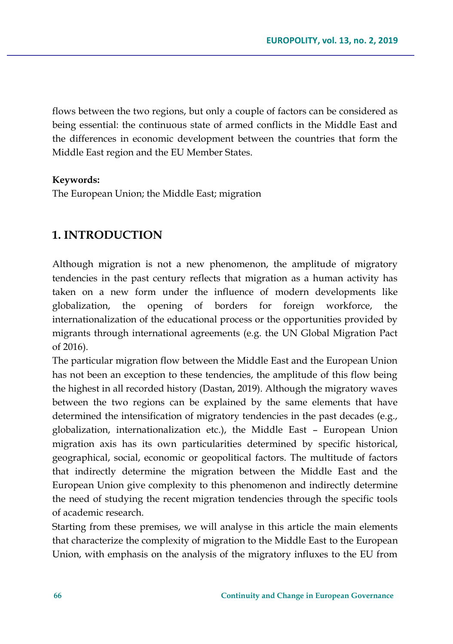flows between the two regions, but only a couple of factors can be considered as being essential: the continuous state of armed conflicts in the Middle East and the differences in economic development between the countries that form the Middle East region and the EU Member States.

### **Keywords:**

The European Union; the Middle East; migration

## **1. INTRODUCTION**

Although migration is not a new phenomenon, the amplitude of migratory tendencies in the past century reflects that migration as a human activity has taken on a new form under the influence of modern developments like globalization, the opening of borders for foreign workforce, the internationalization of the educational process or the opportunities provided by migrants through international agreements (e.g. the UN Global Migration Pact of 2016).

The particular migration flow between the Middle East and the European Union has not been an exception to these tendencies, the amplitude of this flow being the highest in all recorded history (Dastan, 2019). Although the migratory waves between the two regions can be explained by the same elements that have determined the intensification of migratory tendencies in the past decades (e.g., globalization, internationalization etc.), the Middle East – European Union migration axis has its own particularities determined by specific historical, geographical, social, economic or geopolitical factors. The multitude of factors that indirectly determine the migration between the Middle East and the European Union give complexity to this phenomenon and indirectly determine the need of studying the recent migration tendencies through the specific tools of academic research.

Starting from these premises, we will analyse in this article the main elements that characterize the complexity of migration to the Middle East to the European Union, with emphasis on the analysis of the migratory influxes to the EU from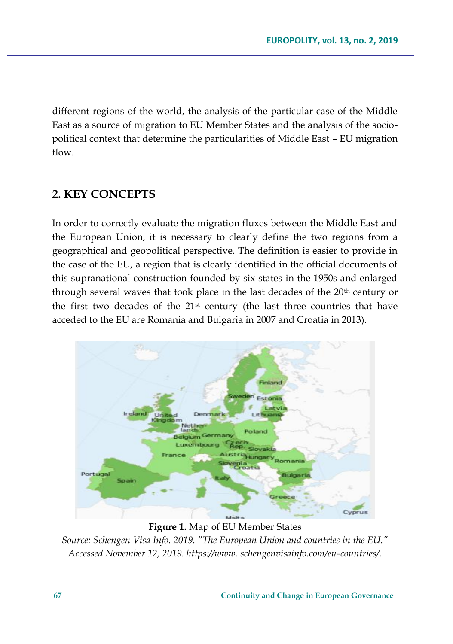different regions of the world, the analysis of the particular case of the Middle East as a source of migration to EU Member States and the analysis of the sociopolitical context that determine the particularities of Middle East – EU migration flow.

## **2. KEY CONCEPTS**

In order to correctly evaluate the migration fluxes between the Middle East and the European Union, it is necessary to clearly define the two regions from a geographical and geopolitical perspective. The definition is easier to provide in the case of the EU, a region that is clearly identified in the official documents of this supranational construction founded by six states in the 1950s and enlarged through several waves that took place in the last decades of the 20<sup>th</sup> century or the first two decades of the  $21<sup>st</sup>$  century (the last three countries that have acceded to the EU are Romania and Bulgaria in 2007 and Croatia in 2013).



**Figure 1.** Map of EU Member States

*Source: Schengen Visa Info. 2019. "The European Union and countries in the EU." Accessed November 12, 2019. https://www. schengenvisainfo.com/eu-countries/.*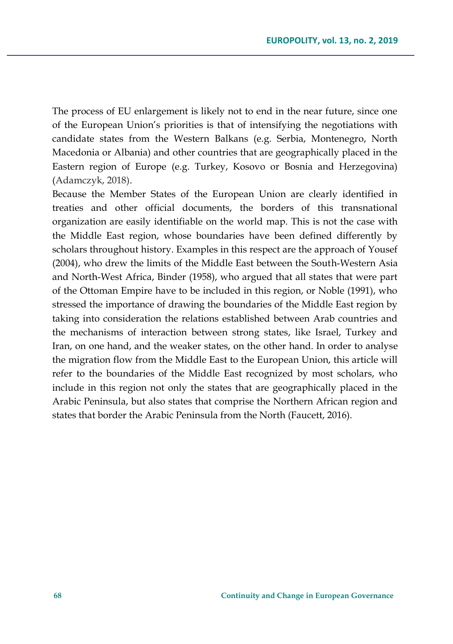The process of EU enlargement is likely not to end in the near future, since one of the European Union's priorities is that of intensifying the negotiations with candidate states from the Western Balkans (e.g. Serbia, Montenegro, North Macedonia or Albania) and other countries that are geographically placed in the Eastern region of Europe (e.g. Turkey, Kosovo or Bosnia and Herzegovina) (Adamczyk, 2018).

Because the Member States of the European Union are clearly identified in treaties and other official documents, the borders of this transnational organization are easily identifiable on the world map. This is not the case with the Middle East region, whose boundaries have been defined differently by scholars throughout history. Examples in this respect are the approach of Yousef (2004), who drew the limits of the Middle East between the South-Western Asia and North-West Africa, Binder (1958), who argued that all states that were part of the Ottoman Empire have to be included in this region, or Noble (1991), who stressed the importance of drawing the boundaries of the Middle East region by taking into consideration the relations established between Arab countries and the mechanisms of interaction between strong states, like Israel, Turkey and Iran, on one hand, and the weaker states, on the other hand. In order to analyse the migration flow from the Middle East to the European Union, this article will refer to the boundaries of the Middle East recognized by most scholars, who include in this region not only the states that are geographically placed in the Arabic Peninsula, but also states that comprise the Northern African region and states that border the Arabic Peninsula from the North (Faucett, 2016).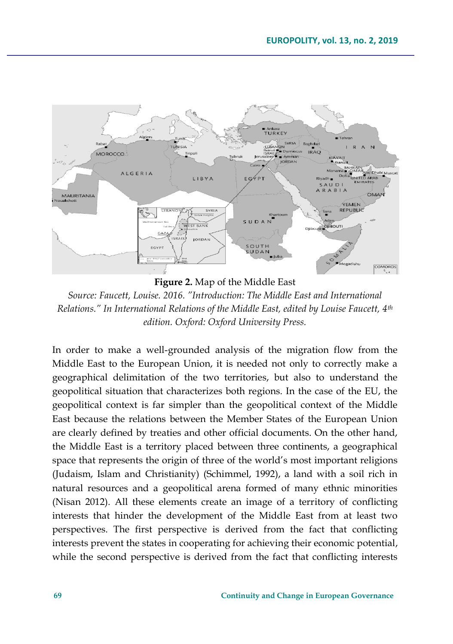

**Figure 2.** Map of the Middle East

*Source: Faucett, Louise. 2016. "Introduction: The Middle East and International Relations." In International Relations of the Middle East, edited by Louise Faucett, 4th edition. Oxford: Oxford University Press.*

In order to make a well-grounded analysis of the migration flow from the Middle East to the European Union, it is needed not only to correctly make a geographical delimitation of the two territories, but also to understand the geopolitical situation that characterizes both regions. In the case of the EU, the geopolitical context is far simpler than the geopolitical context of the Middle East because the relations between the Member States of the European Union are clearly defined by treaties and other official documents. On the other hand, the Middle East is a territory placed between three continents, a geographical space that represents the origin of three of the world's most important religions (Judaism, Islam and Christianity) (Schimmel, 1992), a land with a soil rich in natural resources and a geopolitical arena formed of many ethnic minorities (Nisan 2012). All these elements create an image of a territory of conflicting interests that hinder the development of the Middle East from at least two perspectives. The first perspective is derived from the fact that conflicting interests prevent the states in cooperating for achieving their economic potential, while the second perspective is derived from the fact that conflicting interests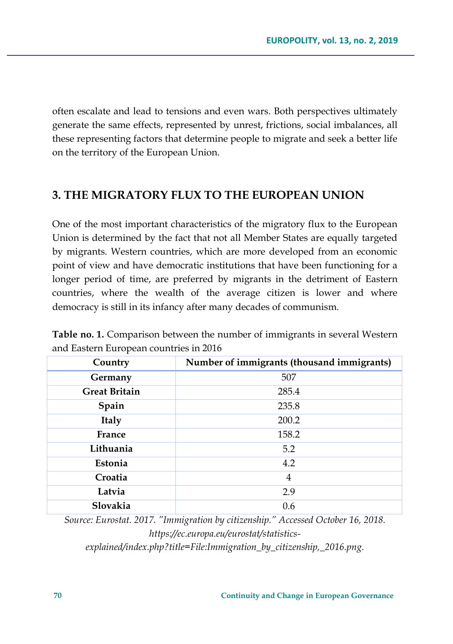often escalate and lead to tensions and even wars. Both perspectives ultimately generate the same effects, represented by unrest, frictions, social imbalances, all these representing factors that determine people to migrate and seek a better life on the territory of the European Union.

## **3. THE MIGRATORY FLUX TO THE EUROPEAN UNION**

One of the most important characteristics of the migratory flux to the European Union is determined by the fact that not all Member States are equally targeted by migrants. Western countries, which are more developed from an economic point of view and have democratic institutions that have been functioning for a longer period of time, are preferred by migrants in the detriment of Eastern countries, where the wealth of the average citizen is lower and where democracy is still in its infancy after many decades of communism.

**Table no. 1.** Comparison between the number of immigrants in several Western and Eastern European countries in 2016

| Country              | Number of immigrants (thousand immigrants) |
|----------------------|--------------------------------------------|
| Germany              | 507                                        |
| <b>Great Britain</b> | 285.4                                      |
| Spain                | 235.8                                      |
| Italy                | 200.2                                      |
| France               | 158.2                                      |
| Lithuania            | 5.2                                        |
| Estonia              | 4.2                                        |
| Croatia              | $\overline{4}$                             |
| Latvia               | 2.9                                        |
| Slovakia             | 0.6                                        |

*Source: Eurostat. 2017. "Immigration by citizenship." Accessed October 16, 2018. https://ec.europa.eu/eurostat/statisticsexplained/index.php?title=File:Immigration\_by\_citizenship,\_2016.png.*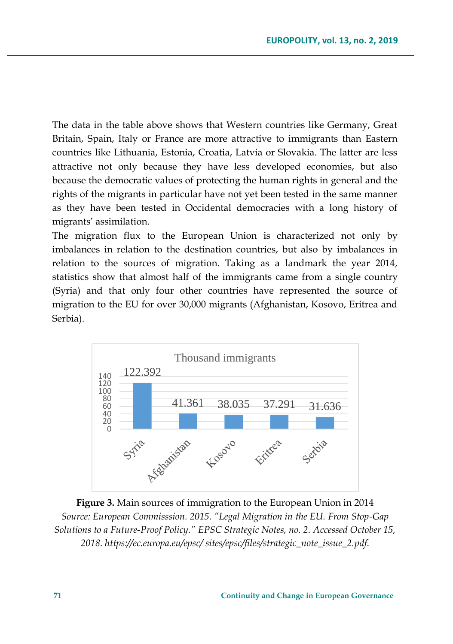The data in the table above shows that Western countries like Germany, Great Britain, Spain, Italy or France are more attractive to immigrants than Eastern countries like Lithuania, Estonia, Croatia, Latvia or Slovakia. The latter are less attractive not only because they have less developed economies, but also because the democratic values of protecting the human rights in general and the rights of the migrants in particular have not yet been tested in the same manner as they have been tested in Occidental democracies with a long history of migrants' assimilation.

The migration flux to the European Union is characterized not only by imbalances in relation to the destination countries, but also by imbalances in relation to the sources of migration. Taking as a landmark the year 2014, statistics show that almost half of the immigrants came from a single country (Syria) and that only four other countries have represented the source of migration to the EU for over 30,000 migrants (Afghanistan, Kosovo, Eritrea and Serbia).



**Figure 3.** Main sources of immigration to the European Union in 2014 *Source: European Commisssion. 2015. "Legal Migration in the EU. From Stop-Gap Solutions to a Future-Proof Policy." EPSC Strategic Notes, no. 2. Accessed October 15, 2018. https://ec.europa.eu/epsc/ sites/epsc/files/strategic\_note\_issue\_2.pdf.*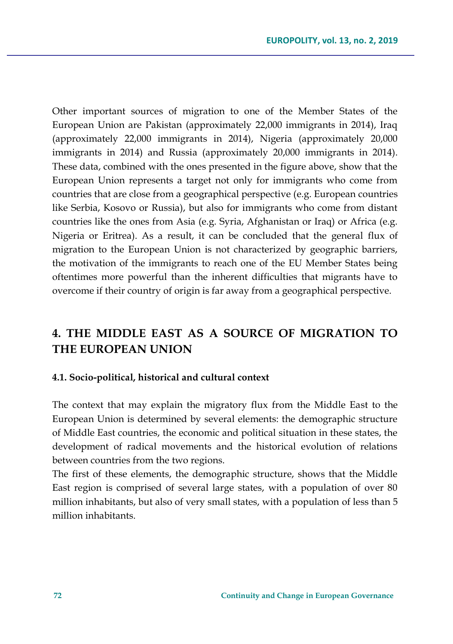Other important sources of migration to one of the Member States of the European Union are Pakistan (approximately 22,000 immigrants in 2014), Iraq (approximately 22,000 immigrants in 2014), Nigeria (approximately 20,000 immigrants in 2014) and Russia (approximately 20,000 immigrants in 2014). These data, combined with the ones presented in the figure above, show that the European Union represents a target not only for immigrants who come from countries that are close from a geographical perspective (e.g. European countries like Serbia, Kosovo or Russia), but also for immigrants who come from distant countries like the ones from Asia (e.g. Syria, Afghanistan or Iraq) or Africa (e.g. Nigeria or Eritrea). As a result, it can be concluded that the general flux of migration to the European Union is not characterized by geographic barriers, the motivation of the immigrants to reach one of the EU Member States being oftentimes more powerful than the inherent difficulties that migrants have to overcome if their country of origin is far away from a geographical perspective.

# **4. THE MIDDLE EAST AS A SOURCE OF MIGRATION TO THE EUROPEAN UNION**

#### **4.1. Socio-political, historical and cultural context**

The context that may explain the migratory flux from the Middle East to the European Union is determined by several elements: the demographic structure of Middle East countries, the economic and political situation in these states, the development of radical movements and the historical evolution of relations between countries from the two regions.

The first of these elements, the demographic structure, shows that the Middle East region is comprised of several large states, with a population of over 80 million inhabitants, but also of very small states, with a population of less than 5 million inhabitants.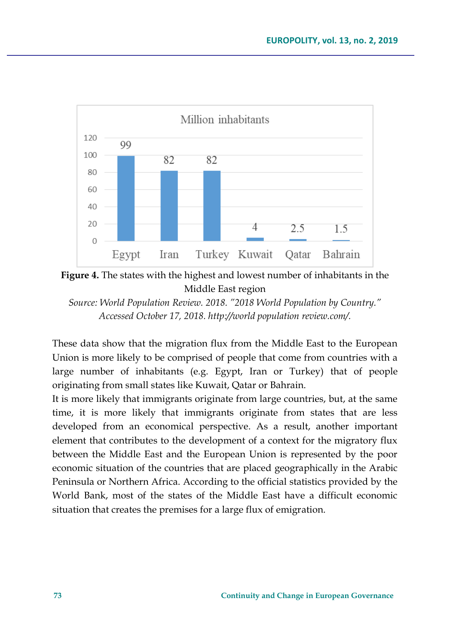



*Source: World Population Review. 2018. "2018 World Population by Country." Accessed October 17, 2018. http://world population review.com/.*

These data show that the migration flux from the Middle East to the European Union is more likely to be comprised of people that come from countries with a large number of inhabitants (e.g. Egypt, Iran or Turkey) that of people originating from small states like Kuwait, Qatar or Bahrain.

It is more likely that immigrants originate from large countries, but, at the same time, it is more likely that immigrants originate from states that are less developed from an economical perspective. As a result, another important element that contributes to the development of a context for the migratory flux between the Middle East and the European Union is represented by the poor economic situation of the countries that are placed geographically in the Arabic Peninsula or Northern Africa. According to the official statistics provided by the World Bank, most of the states of the Middle East have a difficult economic situation that creates the premises for a large flux of emigration.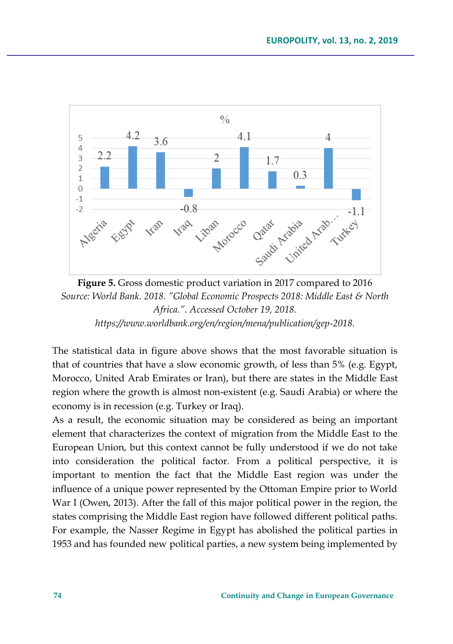

**Figure 5.** Gross domestic product variation in 2017 compared to 2016 *Source: World Bank. 2018. "Global Economic Prospects 2018: Middle East & North Africa.". Accessed October 19, 2018. https://www.worldbank.org/en/region/mena/publication/gep-2018.*

The statistical data in figure above shows that the most favorable situation is that of countries that have a slow economic growth, of less than 5% (e.g. Egypt, Morocco, United Arab Emirates or Iran), but there are states in the Middle East region where the growth is almost non-existent (e.g. Saudi Arabia) or where the economy is in recession (e.g. Turkey or Iraq).

As a result, the economic situation may be considered as being an important element that characterizes the context of migration from the Middle East to the European Union, but this context cannot be fully understood if we do not take into consideration the political factor. From a political perspective, it is important to mention the fact that the Middle East region was under the influence of a unique power represented by the Ottoman Empire prior to World War I (Owen, 2013). After the fall of this major political power in the region, the states comprising the Middle East region have followed different political paths. For example, the Nasser Regime in Egypt has abolished the political parties in 1953 and has founded new political parties, a new system being implemented by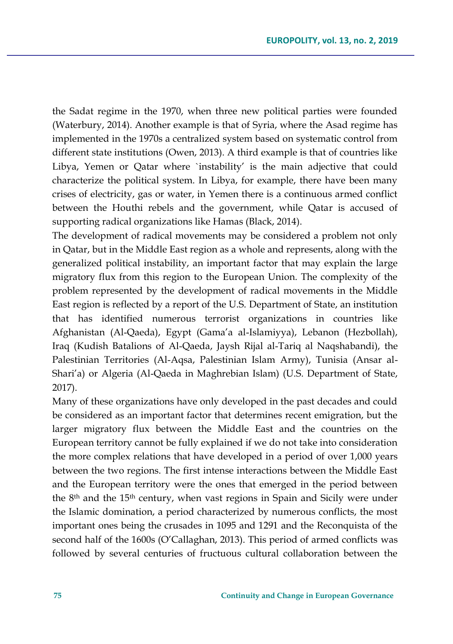the Sadat regime in the 1970, when three new political parties were founded (Waterbury, 2014). Another example is that of Syria, where the Asad regime has implemented in the 1970s a centralized system based on systematic control from different state institutions (Owen, 2013). A third example is that of countries like Libya, Yemen or Qatar where `instability' is the main adjective that could characterize the political system. In Libya, for example, there have been many crises of electricity, gas or water, in Yemen there is a continuous armed conflict between the Houthi rebels and the government, while Qatar is accused of supporting radical organizations like Hamas (Black, 2014).

The development of radical movements may be considered a problem not only in Qatar, but in the Middle East region as a whole and represents, along with the generalized political instability, an important factor that may explain the large migratory flux from this region to the European Union. The complexity of the problem represented by the development of radical movements in the Middle East region is reflected by a report of the U.S. Department of State, an institution that has identified numerous terrorist organizations in countries like Afghanistan (Al-Qaeda), Egypt (Gama'a al-Islamiyya), Lebanon (Hezbollah), Iraq (Kudish Batalions of Al-Qaeda, Jaysh Rijal al-Tariq al Naqshabandi), the Palestinian Territories (Al-Aqsa, Palestinian Islam Army), Tunisia (Ansar al-Shari'a) or Algeria (Al-Qaeda in Maghrebian Islam) (U.S. Department of State, 2017).

Many of these organizations have only developed in the past decades and could be considered as an important factor that determines recent emigration, but the larger migratory flux between the Middle East and the countries on the European territory cannot be fully explained if we do not take into consideration the more complex relations that have developed in a period of over 1,000 years between the two regions. The first intense interactions between the Middle East and the European territory were the ones that emerged in the period between the  $8<sup>th</sup>$  and the 15<sup>th</sup> century, when vast regions in Spain and Sicily were under the Islamic domination, a period characterized by numerous conflicts, the most important ones being the crusades in 1095 and 1291 and the Reconquista of the second half of the 1600s (O'Callaghan, 2013). This period of armed conflicts was followed by several centuries of fructuous cultural collaboration between the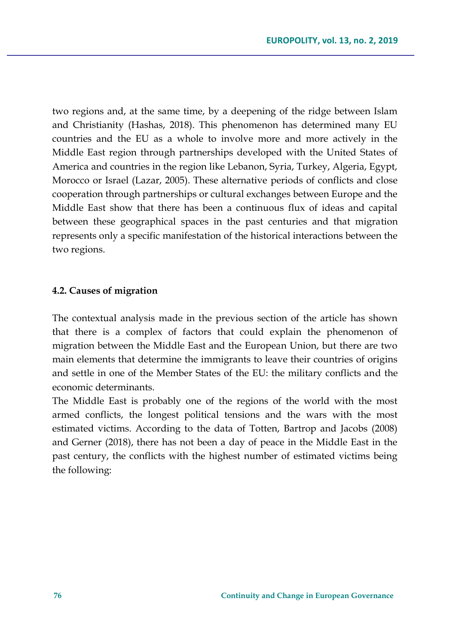two regions and, at the same time, by a deepening of the ridge between Islam and Christianity (Hashas, 2018). This phenomenon has determined many EU countries and the EU as a whole to involve more and more actively in the Middle East region through partnerships developed with the United States of America and countries in the region like Lebanon, Syria, Turkey, Algeria, Egypt, Morocco or Israel (Lazar, 2005). These alternative periods of conflicts and close cooperation through partnerships or cultural exchanges between Europe and the Middle East show that there has been a continuous flux of ideas and capital between these geographical spaces in the past centuries and that migration represents only a specific manifestation of the historical interactions between the two regions.

### **4.2. Causes of migration**

The contextual analysis made in the previous section of the article has shown that there is a complex of factors that could explain the phenomenon of migration between the Middle East and the European Union, but there are two main elements that determine the immigrants to leave their countries of origins and settle in one of the Member States of the EU: the military conflicts and the economic determinants.

The Middle East is probably one of the regions of the world with the most armed conflicts, the longest political tensions and the wars with the most estimated victims. According to the data of Totten, Bartrop and Jacobs (2008) and Gerner (2018), there has not been a day of peace in the Middle East in the past century, the conflicts with the highest number of estimated victims being the following: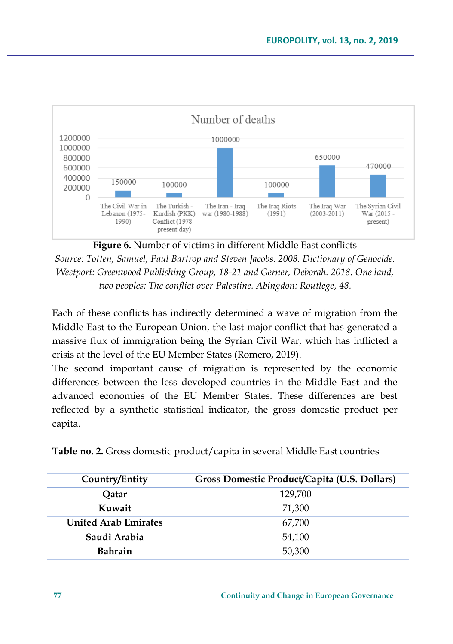

**Figure 6.** Number of victims in different Middle East conflicts

*Source: Totten, Samuel, Paul Bartrop and Steven Jacobs. 2008. Dictionary of Genocide. Westport: Greenwood Publishing Group, 18-21 and Gerner, Deborah. 2018. One land, two peoples: The conflict over Palestine. Abingdon: Routlege, 48.*

Each of these conflicts has indirectly determined a wave of migration from the Middle East to the European Union, the last major conflict that has generated a massive flux of immigration being the Syrian Civil War, which has inflicted a crisis at the level of the EU Member States (Romero, 2019).

The second important cause of migration is represented by the economic differences between the less developed countries in the Middle East and the advanced economies of the EU Member States. These differences are best reflected by a synthetic statistical indicator, the gross domestic product per capita.

**Table no. 2.** Gross domestic product/capita in several Middle East countries

| Country/Entity              | Gross Domestic Product/Capita (U.S. Dollars) |
|-----------------------------|----------------------------------------------|
| Oatar                       | 129,700                                      |
| Kuwait                      | 71.300                                       |
| <b>United Arab Emirates</b> | 67.700                                       |
| Saudi Arabia                | 54,100                                       |
| <b>Bahrain</b>              | 50,300                                       |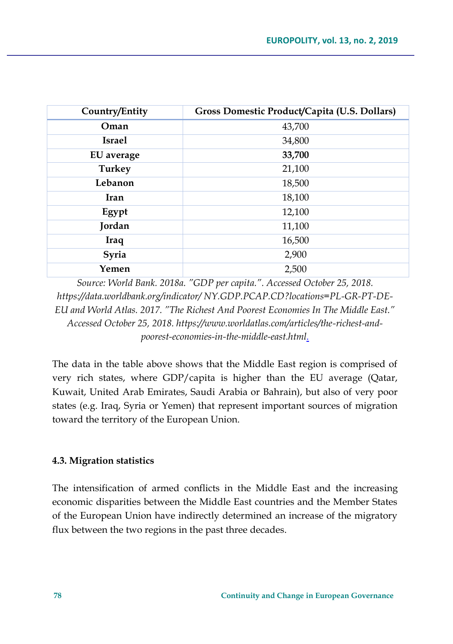| Country/Entity | Gross Domestic Product/Capita (U.S. Dollars) |
|----------------|----------------------------------------------|
| Oman           | 43,700                                       |
| <b>Israel</b>  | 34,800                                       |
| EU average     | 33,700                                       |
| <b>Turkey</b>  | 21,100                                       |
| Lebanon        | 18,500                                       |
| Iran           | 18,100                                       |
| Egypt          | 12,100                                       |
| Jordan         | 11,100                                       |
| <b>Iraq</b>    | 16,500                                       |
| Syria          | 2,900                                        |
| Yemen          | 2,500                                        |

*Source: World Bank. 2018a. "GDP per capita.". Accessed October 25, 2018. https://data.worldbank.org/indicator/ NY.GDP.PCAP.CD?locations=PL-GR-PT-DE-EU and World Atlas. 2017. "The Richest And Poorest Economies In The Middle East." Accessed October 25, 2018. https://www.worldatlas.com/articles/the-richest-andpoorest-economies-in-the-middle-east.html.*

The data in the table above shows that the Middle East region is comprised of very rich states, where GDP/capita is higher than the EU average (Qatar, Kuwait, United Arab Emirates, Saudi Arabia or Bahrain), but also of very poor states (e.g. Iraq, Syria or Yemen) that represent important sources of migration toward the territory of the European Union.

### **4.3. Migration statistics**

The intensification of armed conflicts in the Middle East and the increasing economic disparities between the Middle East countries and the Member States of the European Union have indirectly determined an increase of the migratory flux between the two regions in the past three decades.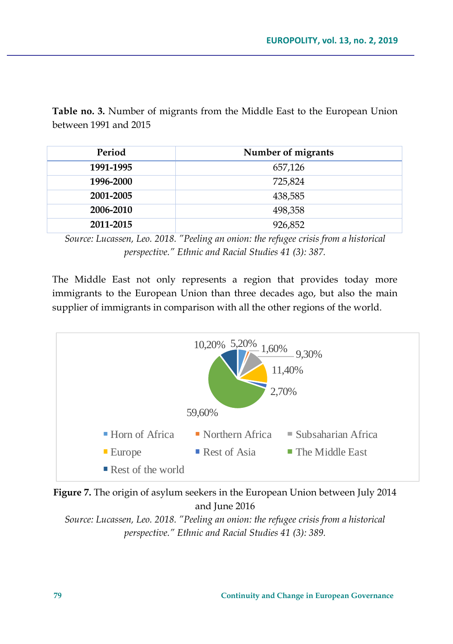**Table no. 3.** Number of migrants from the Middle East to the European Union between 1991 and 2015

| Period    | Number of migrants |
|-----------|--------------------|
| 1991-1995 | 657,126            |
| 1996-2000 | 725,824            |
| 2001-2005 | 438,585            |
| 2006-2010 | 498,358            |
| 2011-2015 | 926,852            |

*Source: Lucassen, Leo. 2018. "Peeling an onion: the refugee crisis from a historical perspective." Ethnic and Racial Studies 41 (3): 387.*

The Middle East not only represents a region that provides today more immigrants to the European Union than three decades ago, but also the main supplier of immigrants in comparison with all the other regions of the world.





*Source: Lucassen, Leo. 2018. "Peeling an onion: the refugee crisis from a historical perspective." Ethnic and Racial Studies 41 (3): 389.*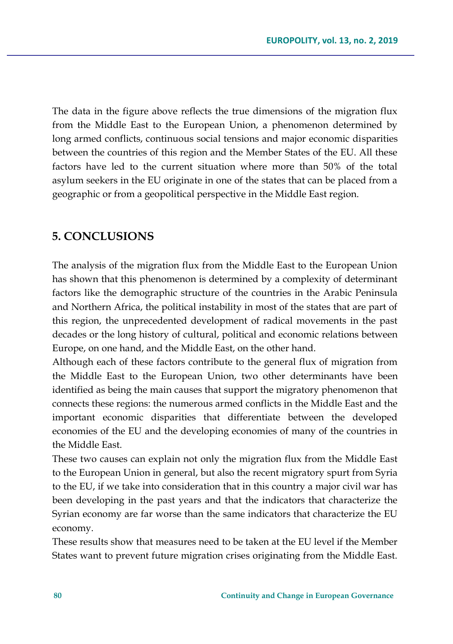The data in the figure above reflects the true dimensions of the migration flux from the Middle East to the European Union, a phenomenon determined by long armed conflicts, continuous social tensions and major economic disparities between the countries of this region and the Member States of the EU. All these factors have led to the current situation where more than 50% of the total asylum seekers in the EU originate in one of the states that can be placed from a geographic or from a geopolitical perspective in the Middle East region.

### **5. CONCLUSIONS**

The analysis of the migration flux from the Middle East to the European Union has shown that this phenomenon is determined by a complexity of determinant factors like the demographic structure of the countries in the Arabic Peninsula and Northern Africa, the political instability in most of the states that are part of this region, the unprecedented development of radical movements in the past decades or the long history of cultural, political and economic relations between Europe, on one hand, and the Middle East, on the other hand.

Although each of these factors contribute to the general flux of migration from the Middle East to the European Union, two other determinants have been identified as being the main causes that support the migratory phenomenon that connects these regions: the numerous armed conflicts in the Middle East and the important economic disparities that differentiate between the developed economies of the EU and the developing economies of many of the countries in the Middle East.

These two causes can explain not only the migration flux from the Middle East to the European Union in general, but also the recent migratory spurt from Syria to the EU, if we take into consideration that in this country a major civil war has been developing in the past years and that the indicators that characterize the Syrian economy are far worse than the same indicators that characterize the EU economy.

These results show that measures need to be taken at the EU level if the Member States want to prevent future migration crises originating from the Middle East.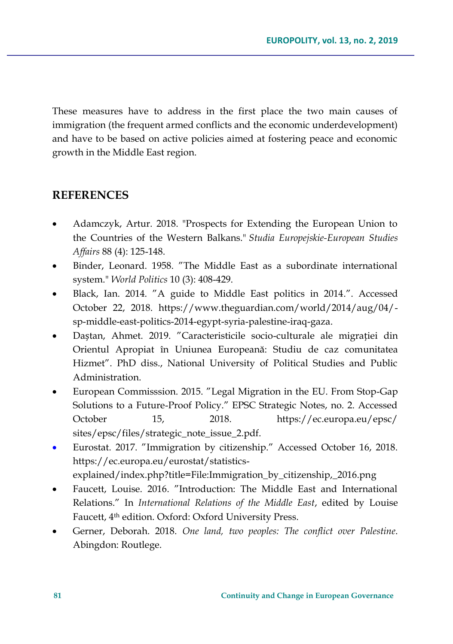These measures have to address in the first place the two main causes of immigration (the frequent armed conflicts and the economic underdevelopment) and have to be based on active policies aimed at fostering peace and economic growth in the Middle East region.

## **REFERENCES**

- Adamczyk, Artur. 2018. "Prospects for Extending the European Union to the Countries of the Western Balkans." *Studia Europejskie-European Studies Affairs* 88 (4): 125-148.
- Binder, Leonard. 1958. "The Middle East as a subordinate international system." *World Politics* 10 (3): 408-429.
- Black, Ian. 2014. "A guide to Middle East politics in 2014.". Accessed October 22, 2018. https://www.theguardian.com/world/2014/aug/04/ sp-middle-east-politics-2014-egypt-syria-palestine-iraq-gaza.
- Daștan, Ahmet. 2019. "Caracteristicile socio-culturale ale migrației din Orientul Apropiat în Uniunea Europeană: Studiu de caz comunitatea Hizmet". PhD diss., National University of Political Studies and Public Administration.
- European Commisssion. 2015. "Legal Migration in the EU. From Stop-Gap Solutions to a Future-Proof Policy." EPSC Strategic Notes, no. 2. Accessed October 15, 2018. https://ec.europa.eu/epsc/ sites/epsc/files/strategic\_note\_issue\_2.pdf.
- Eurostat. 2017. "Immigration by citizenship." Accessed October 16, 2018. https://ec.europa.eu/eurostat/statisticsexplained/index.php?title=File:Immigration\_by\_citizenship,\_2016.png
- Faucett, Louise. 2016. "Introduction: The Middle East and International Relations." In *International Relations of the Middle East*, edited by Louise Faucett, 4th edition. Oxford: Oxford University Press.
- Gerner, Deborah. 2018. *One land, two peoples: The conflict over Palestine*. Abingdon: Routlege.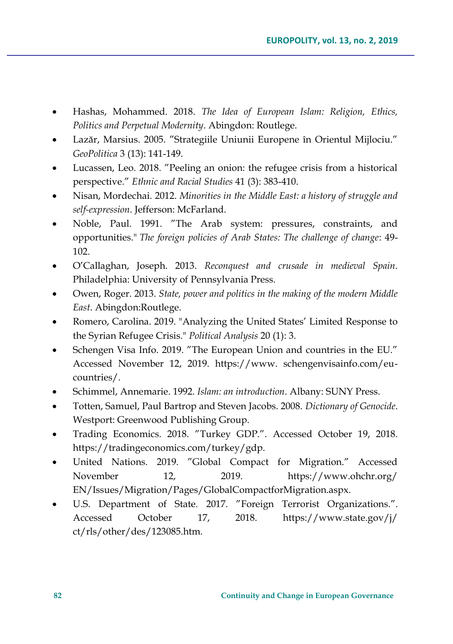- Hashas, Mohammed. 2018. *The Idea of European Islam: Religion, Ethics, Politics and Perpetual Modernity*. Abingdon: Routlege.
- Lazăr, Marsius. 2005. "Strategiile Uniunii Europene în Orientul Mijlociu." *GeoPolitica* 3 (13): 141-149.
- Lucassen, Leo. 2018. "Peeling an onion: the refugee crisis from a historical perspective." *Ethnic and Racial Studies* 41 (3): 383-410.
- Nisan, Mordechai. 2012. *Minorities in the Middle East: a history of struggle and self-expression*. Jefferson: McFarland.
- Noble, Paul. 1991. "The Arab system: pressures, constraints, and opportunities." *The foreign policies of Arab States: The challenge of change*: 49- 102.
- O'Callaghan, Joseph. 2013. *Reconquest and crusade in medieval Spain*. Philadelphia: University of Pennsylvania Press.
- Owen, Roger. 2013. *State, power and politics in the making of the modern Middle East*. Abingdon:Routlege.
- Romero, Carolina. 2019. "Analyzing the United States' Limited Response to the Syrian Refugee Crisis." *Political Analysis* 20 (1): 3.
- Schengen Visa Info. 2019. "The European Union and countries in the EU." Accessed November 12, 2019. https://www. schengenvisainfo.com/eucountries/.
- Schimmel, Annemarie. 1992. *Islam: an introduction*. Albany: SUNY Press.
- Totten, Samuel, Paul Bartrop and Steven Jacobs. 2008. *Dictionary of Genocide*. Westport: Greenwood Publishing Group.
- Trading Economics. 2018. "Turkey GDP.". Accessed October 19, 2018. https://tradingeconomics.com/turkey/gdp.
- United Nations. 2019. "Global Compact for Migration." Accessed November 12, 2019. https://www.ohchr.org/ EN/Issues/Migration/Pages/GlobalCompactforMigration.aspx.
- U.S. Department of State. 2017. "Foreign Terrorist Organizations.". Accessed October 17, 2018. https://www.state.gov/j/ ct/rls/other/des/123085.htm.